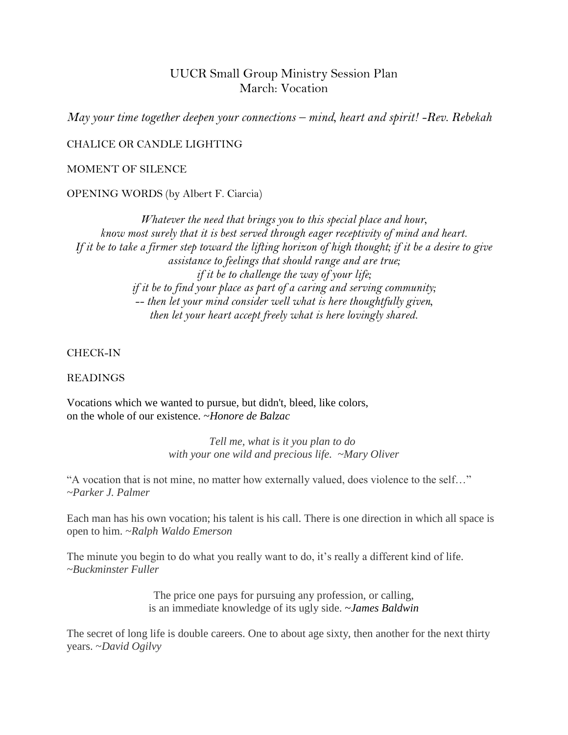# UUCR Small Group Ministry Session Plan March: Vocation

*May your time together deepen your connections – mind, heart and spirit! -Rev. Rebekah*

### CHALICE OR CANDLE LIGHTING

#### MOMENT OF SILENCE

### OPENING WORDS (by Albert F. Ciarcia)

*Whatever the need that brings you to this special place and hour, know most surely that it is best served through eager receptivity of mind and heart. If it be to take a firmer step toward the lifting horizon of high thought; if it be a desire to give assistance to feelings that should range and are true; if it be to challenge the way of your life; if it be to find your place as part of a caring and serving community; -- then let your mind consider well what is here thoughtfully given, then let your heart accept freely what is here lovingly shared.*

### CHECK-IN

### READINGS

Vocations which we wanted to pursue, but didn't, bleed, like colors, on the whole of our existence. ~*Honore de Balzac*

> *Tell me, what is it you plan to do with your one wild and precious life. ~Mary Oliver*

"A vocation that is not mine, no matter how externally valued, does violence to the self…" *~Parker J. Palmer* 

Each man has his own vocation; his talent is his call. There is one direction in which all space is open to him. ~*Ralph Waldo Emerson*

The minute you begin to do what you really want to do, it's really a different kind of life. *~Buckminster Fuller* 

> The price one pays for pursuing any profession, or calling, is an immediate knowledge of its ugly side. ~*James Baldwin*

The secret of long life is double careers. One to about age sixty, then another for the next thirty years. ~*David Ogilvy*